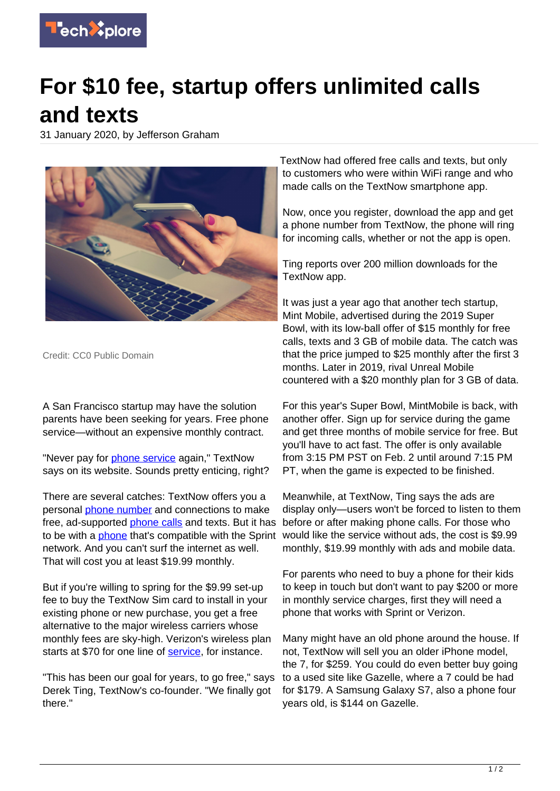

## **For \$10 fee, startup offers unlimited calls and texts**

31 January 2020, by Jefferson Graham



Credit: CC0 Public Domain

A San Francisco startup may have the solution parents have been seeking for years. Free phone service—without an expensive monthly contract.

"Never pay for [phone service](https://techxplore.com/tags/phone+service/) again," TextNow says on its website. Sounds pretty enticing, right?

There are several catches: TextNow offers you a personal **phone number** and connections to make free, ad-supported [phone calls](https://techxplore.com/tags/phone+calls/) and texts. But it has to be with a **[phone](https://techxplore.com/tags/phone/)** that's compatible with the Sprint network. And you can't surf the internet as well. That will cost you at least \$19.99 monthly.

But if you're willing to spring for the \$9.99 set-up fee to buy the TextNow Sim card to install in your existing phone or new purchase, you get a free alternative to the major wireless carriers whose monthly fees are sky-high. Verizon's wireless plan starts at \$70 for one line of [service](https://techxplore.com/tags/service/), for instance.

"This has been our goal for years, to go free," says Derek Ting, TextNow's co-founder. "We finally got there."

TextNow had offered free calls and texts, but only to customers who were within WiFi range and who made calls on the TextNow smartphone app.

Now, once you register, download the app and get a phone number from TextNow, the phone will ring for incoming calls, whether or not the app is open.

Ting reports over 200 million downloads for the TextNow app.

It was just a year ago that another tech startup, Mint Mobile, advertised during the 2019 Super Bowl, with its low-ball offer of \$15 monthly for free calls, texts and 3 GB of mobile data. The catch was that the price jumped to \$25 monthly after the first 3 months. Later in 2019, rival Unreal Mobile countered with a \$20 monthly plan for 3 GB of data.

For this year's Super Bowl, MintMobile is back, with another offer. Sign up for service during the game and get three months of mobile service for free. But you'll have to act fast. The offer is only available from 3:15 PM PST on Feb. 2 until around 7:15 PM PT, when the game is expected to be finished.

Meanwhile, at TextNow, Ting says the ads are display only—users won't be forced to listen to them before or after making phone calls. For those who would like the service without ads, the cost is \$9.99 monthly, \$19.99 monthly with ads and mobile data.

For parents who need to buy a phone for their kids to keep in touch but don't want to pay \$200 or more in monthly service charges, first they will need a phone that works with Sprint or Verizon.

Many might have an old phone around the house. If not, TextNow will sell you an older iPhone model, the 7, for \$259. You could do even better buy going to a used site like Gazelle, where a 7 could be had for \$179. A Samsung Galaxy S7, also a phone four years old, is \$144 on Gazelle.